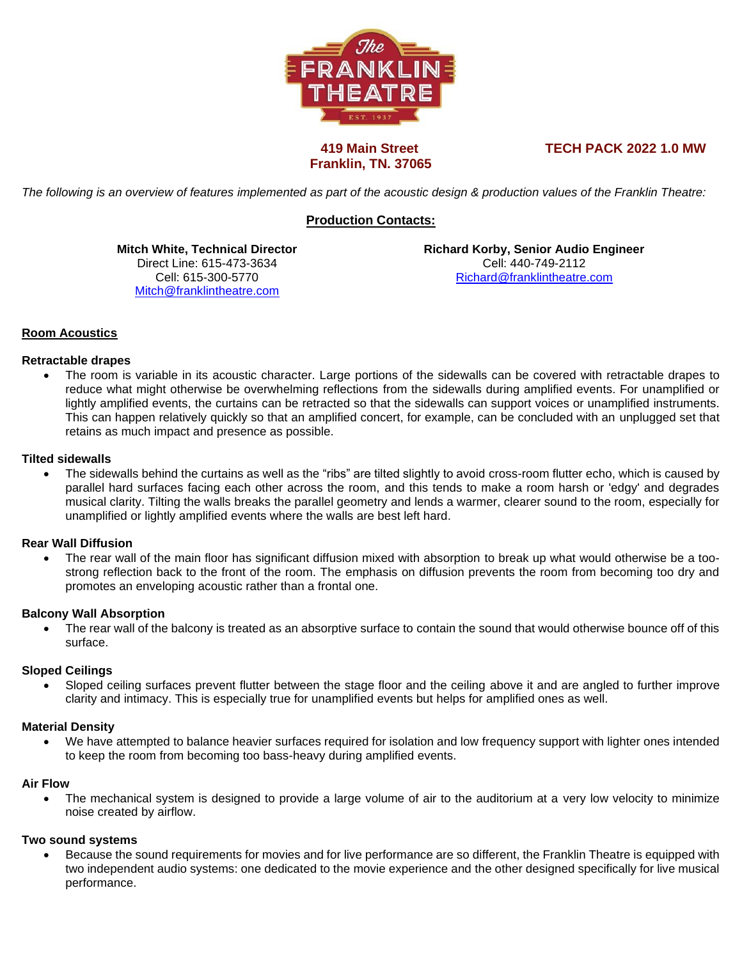

# **Franklin, TN. 37065**

 **419 Main Street TECH PACK 2022 1.0 MW**

*The following is an overview of features implemented as part of the acoustic design & production values of the Franklin Theatre:*

# **Production Contacts:**

**Mitch White, Technical Director** Direct Line: 615-473-3634 Cell: 615-300-5770 [Mitch@franklintheatre.com](mailto:richard@franklintheatre.com)

**Richard Korby, Senior Audio Engineer** Cell: 440-749-2112 [Richard@franklintheatre.com](mailto:Richard@franklintheatre.com)

# **Room Acoustics**

#### **Retractable drapes**

• The room is variable in its acoustic character. Large portions of the sidewalls can be covered with retractable drapes to reduce what might otherwise be overwhelming reflections from the sidewalls during amplified events. For unamplified or lightly amplified events, the curtains can be retracted so that the sidewalls can support voices or unamplified instruments. This can happen relatively quickly so that an amplified concert, for example, can be concluded with an unplugged set that retains as much impact and presence as possible.

#### **Tilted sidewalls**

• The sidewalls behind the curtains as well as the "ribs" are tilted slightly to avoid cross-room flutter echo, which is caused by parallel hard surfaces facing each other across the room, and this tends to make a room harsh or 'edgy' and degrades musical clarity. Tilting the walls breaks the parallel geometry and lends a warmer, clearer sound to the room, especially for unamplified or lightly amplified events where the walls are best left hard.

#### **Rear Wall Diffusion**

• The rear wall of the main floor has significant diffusion mixed with absorption to break up what would otherwise be a toostrong reflection back to the front of the room. The emphasis on diffusion prevents the room from becoming too dry and promotes an enveloping acoustic rather than a frontal one.

#### **Balcony Wall Absorption**

The rear wall of the balcony is treated as an absorptive surface to contain the sound that would otherwise bounce off of this surface.

#### **Sloped Ceilings**

• Sloped ceiling surfaces prevent flutter between the stage floor and the ceiling above it and are angled to further improve clarity and intimacy. This is especially true for unamplified events but helps for amplified ones as well.

#### **Material Density**

• We have attempted to balance heavier surfaces required for isolation and low frequency support with lighter ones intended to keep the room from becoming too bass-heavy during amplified events.

#### **Air Flow**

• The mechanical system is designed to provide a large volume of air to the auditorium at a very low velocity to minimize noise created by airflow.

#### **Two sound systems**

• Because the sound requirements for movies and for live performance are so different, the Franklin Theatre is equipped with two independent audio systems: one dedicated to the movie experience and the other designed specifically for live musical performance.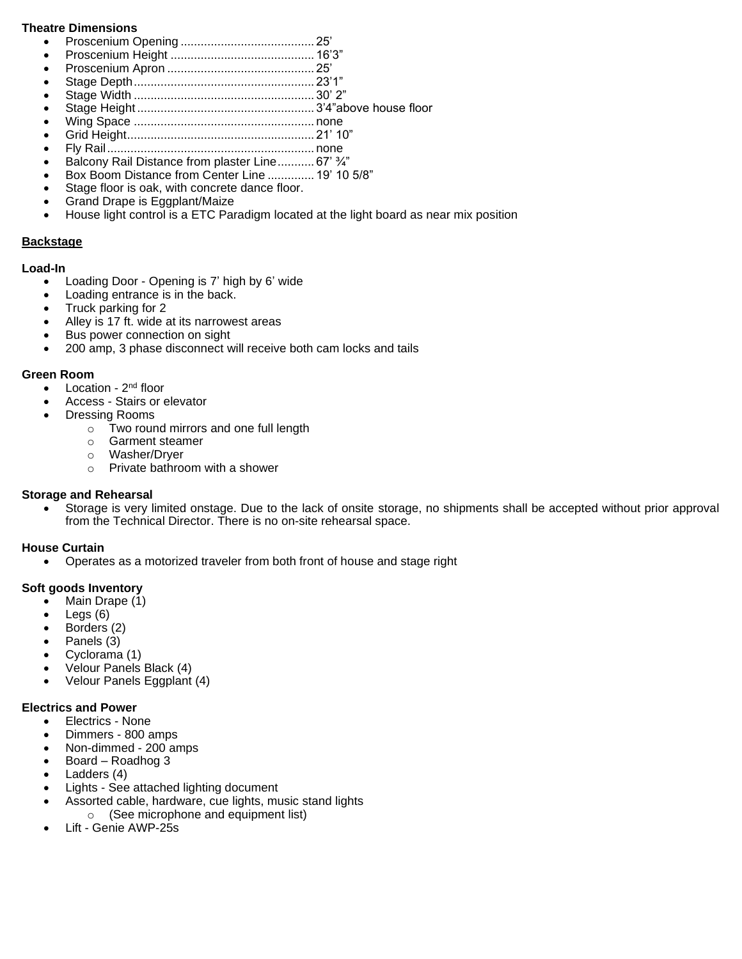#### **Theatre Dimensions**

- Proscenium Opening ........................................ 25'
- Proscenium Height ........................................... 16'3"
- Proscenium Apron ............................................ 25'
- Stage Depth...................................................... 23'1" • Stage Width ...................................................... 30' 2"
- 
- Stage Height ..................................................... 3'4"above house floor
- Wing Space ...................................................... none • Grid Height........................................................ 21' 10"
- Fly Rail.............................................................. none
- Balcony Rail Distance from plaster Line........... 67' 3/4"
- Box Boom Distance from Center Line .............. 19' 10 5/8"
- Stage floor is oak, with concrete dance floor.
- Grand Drape is Eggplant/Maize
- House light control is a ETC Paradigm located at the light board as near mix position

#### **Backstage**

#### **Load-In**

- Loading Door Opening is 7' high by 6' wide
- Loading entrance is in the back.
- Truck parking for 2
- Alley is 17 ft. wide at its narrowest areas
- Bus power connection on sight
- 200 amp, 3 phase disconnect will receive both cam locks and tails

#### **Green Room**

- Location 2<sup>nd</sup> floor
- Access Stairs or elevator
- Dressing Rooms
	- o Two round mirrors and one full length
	- o Garment steamer
	- o Washer/Dryer
	- o Private bathroom with a shower

# **Storage and Rehearsal**

Storage is very limited onstage. Due to the lack of onsite storage, no shipments shall be accepted without prior approval from the Technical Director. There is no on-site rehearsal space.

#### **House Curtain**

• Operates as a motorized traveler from both front of house and stage right

# **Soft goods Inventory**

- Main Drape (1)
- $\bullet$  Legs  $(6)$
- Borders (2)
- Panels (3)
- Cyclorama (1)
- Velour Panels Black (4)
- Velour Panels Eggplant (4)

#### **Electrics and Power**

- Electrics None
- Dimmers 800 amps
- Non-dimmed 200 amps
- Board Roadhog 3
- Ladders (4)
- Lights See attached lighting document
- Assorted cable, hardware, cue lights, music stand lights o (See microphone and equipment list)
- Lift Genie AWP-25s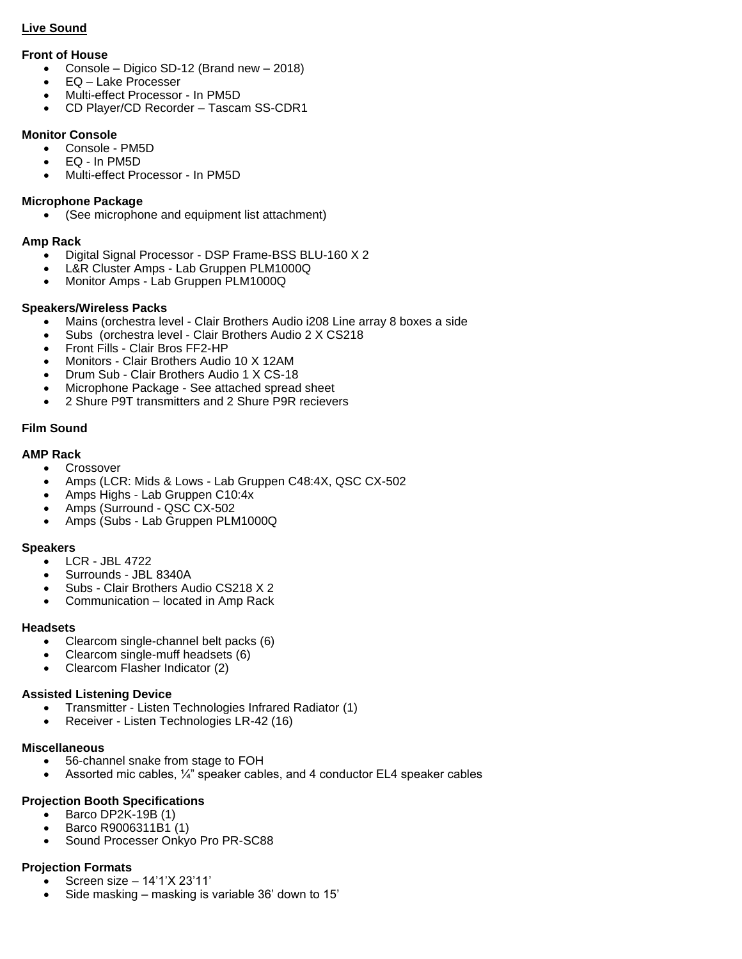# **Live Sound**

# **Front of House**

- Console Digico SD-12 (Brand new 2018)
- EQ Lake Processer
- Multi-effect Processor In PM5D
- CD Player/CD Recorder Tascam SS-CDR1

# **Monitor Console**

- Console PM5D
- EQ In PM5D
- Multi-effect Processor In PM5D

## **Microphone Package**

• (See microphone and equipment list attachment)

# **Amp Rack**

- Digital Signal Processor DSP Frame-BSS BLU-160 X 2
- L&R Cluster Amps Lab Gruppen PLM1000Q
- Monitor Amps Lab Gruppen PLM1000Q

# **Speakers/Wireless Packs**

- Mains (orchestra level Clair Brothers Audio i208 Line array 8 boxes a side
- Subs (orchestra level Clair Brothers Audio 2 X CS218
- Front Fills Clair Bros FF2-HP
- Monitors Clair Brothers Audio 10 X 12AM
- Drum Sub Clair Brothers Audio 1 X CS-18
- Microphone Package See attached spread sheet
- 2 Shure P9T transmitters and 2 Shure P9R recievers

# **Film Sound**

# **AMP Rack**

- Crossover
- Amps (LCR: Mids & Lows Lab Gruppen C48:4X, QSC CX-502
- Amps Highs Lab Gruppen C10:4x
- Amps (Surround QSC CX-502
- Amps (Subs Lab Gruppen PLM1000Q

#### **Speakers**

- LCR JBL 4722
- Surrounds JBL 8340A
- Subs Clair Brothers Audio CS218 X 2
- Communication located in Amp Rack

#### **Headsets**

- Clearcom single-channel belt packs (6)
- Clearcom single-muff headsets (6)
- Clearcom Flasher Indicator (2)

#### **Assisted Listening Device**

- Transmitter Listen Technologies Infrared Radiator (1)
- Receiver Listen Technologies LR-42 (16)

#### **Miscellaneous**

- 56-channel snake from stage to FOH
- Assorted mic cables,  $\frac{1}{4}$ " speaker cables, and 4 conductor EL4 speaker cables

# **Projection Booth Specifications**

- Barco DP2K-19B (1)
- Barco R9006311B1 (1)
- Sound Processer Onkyo Pro PR-SC88

#### **Projection Formats**

- Screen size 14'1'X 23'11'
- Side masking masking is variable 36' down to 15'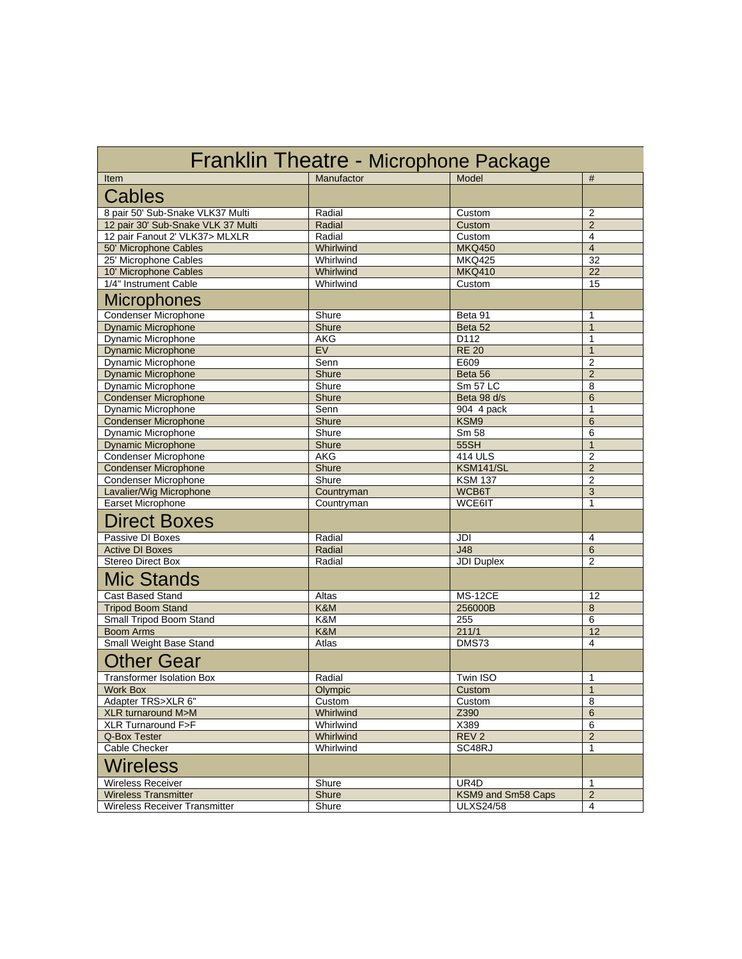| Franklin Theatre - Microphone Package |              |                    |                |
|---------------------------------------|--------------|--------------------|----------------|
| Item                                  | Manufactor   | Model              | #              |
| <b>Cables</b>                         |              |                    |                |
| 8 pair 50' Sub-Snake VLK37 Multi      | Radial       | Custom             | $\overline{2}$ |
| 12 pair 30' Sub-Snake VLK 37 Multi    | Radial       | Custom             | $\overline{2}$ |
| 12 pair Fanout 2' VLK37> MLXLR        | Radial       | Custom             | 4              |
| 50' Microphone Cables                 | Whirlwind    | <b>MKQ450</b>      | $\overline{4}$ |
| 25' Microphone Cables                 | Whirlwind    | <b>MKQ425</b>      | 32             |
| 10' Microphone Cables                 | Whirlwind    | <b>MKQ410</b>      | 22             |
| 1/4" Instrument Cable                 | Whirlwind    | Custom             | 15             |
| <b>Microphones</b>                    |              |                    |                |
| <b>Condenser Microphone</b>           | Shure        | Beta 91            | $\mathbf{1}$   |
| <b>Dynamic Microphone</b>             | Shure        | Beta 52            | $\overline{1}$ |
| Dynamic Microphone                    | AKG          | D112               | 1              |
| <b>Dynamic Microphone</b>             | EV           | <b>RE 20</b>       | $\overline{1}$ |
| Dynamic Microphone                    | Senn         | E609               | $\overline{2}$ |
| <b>Dynamic Microphone</b>             | Shure        | Beta 56            | $\overline{2}$ |
| Dynamic Microphone                    | Shure        | <b>Sm 57 LC</b>    | 8              |
| <b>Condenser Microphone</b>           | Shure        | Beta 98 d/s        | 6              |
| Dynamic Microphone                    | Senn         | 904 4 pack         | $\mathbf{1}$   |
| <b>Condenser Microphone</b>           | <b>Shure</b> | KSM9               | 6              |
| Dynamic Microphone                    | Shure        | Sm 58              | 6              |
| <b>Dynamic Microphone</b>             | Shure        | 55SH               | $\overline{1}$ |
| Condenser Microphone                  | AKG          | 414 ULS            | $\overline{2}$ |
| <b>Condenser Microphone</b>           | Shure        | <b>KSM141/SL</b>   | $\overline{2}$ |
| <b>Condenser Microphone</b>           | Shure        | <b>KSM 137</b>     | $\overline{2}$ |
| Lavalier/Wig Microphone               | Countryman   | WCB6T              | 3              |
| Earset Microphone                     | Countryman   | WCE6IT             | 1              |
| <b>Direct Boxes</b>                   |              |                    |                |
| Passive DI Boxes                      | Radial       | JDI                | 4              |
| <b>Active DI Boxes</b>                | Radial       | J48                | 6              |
| <b>Stereo Direct Box</b>              | Radial       | <b>JDI Duplex</b>  | $\overline{2}$ |
| Mic Stands                            |              |                    |                |
| Cast Based Stand                      | Altas        | <b>MS-12CE</b>     | 12             |
| <b>Tripod Boom Stand</b>              | K&M          | 256000B            | 8              |
| Small Tripod Boom Stand               | K&M          | 255                | 6              |
| <b>Boom Arms</b>                      | K&M          | 211/1              | 12             |
| Small Weight Base Stand               | Atlas        | DMS73              | 4              |
| <b>Other Gear</b>                     |              |                    |                |
| <b>Transformer Isolation Box</b>      | Radial       | Twin ISO           | 1              |
| <b>Work Box</b>                       | Olympic      | Custom             | $\overline{1}$ |
| Adapter TRS>XLR 6"                    | Custom       | Custom             | 8              |
| XLR turnaround M>M                    | Whirlwind    | Z390               | $6\phantom{1}$ |
| XLR Turnaround F>F                    | Whirlwind    | X389               | 6              |
| Q-Box Tester                          | Whirlwind    | REV <sub>2</sub>   | $\sqrt{2}$     |
| Cable Checker                         | Whirlwind    | SC48RJ             | $\mathbf{1}$   |
| Wireless                              |              |                    |                |
| <b>Wireless Receiver</b>              | Shure        | UR4D               | 1              |
| <b>Wireless Transmitter</b>           | Shure        | KSM9 and Sm58 Caps | $\overline{2}$ |
| <b>Wireless Receiver Transmitter</b>  | Shure        | <b>ULXS24/58</b>   | 4              |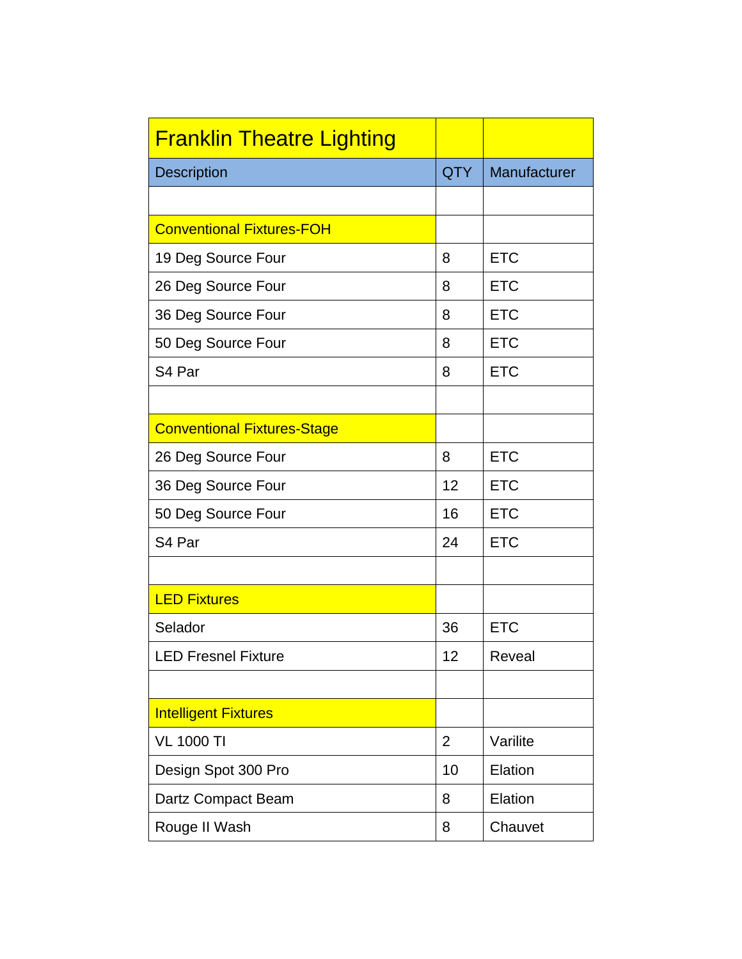| <b>Franklin Theatre Lighting</b>   |            |              |
|------------------------------------|------------|--------------|
| <b>Description</b>                 | <b>QTY</b> | Manufacturer |
|                                    |            |              |
| <b>Conventional Fixtures-FOH</b>   |            |              |
| 19 Deg Source Four                 |            | <b>ETC</b>   |
| 26 Deg Source Four                 |            | <b>ETC</b>   |
| 36 Deg Source Four                 |            | <b>ETC</b>   |
| 50 Deg Source Four                 |            | <b>ETC</b>   |
| S4 Par                             |            | <b>ETC</b>   |
|                                    |            |              |
| <b>Conventional Fixtures-Stage</b> |            |              |
| 26 Deg Source Four                 |            | <b>ETC</b>   |
| 36 Deg Source Four                 |            | <b>ETC</b>   |
| 50 Deg Source Four                 |            | <b>ETC</b>   |
| S4 Par                             |            | <b>ETC</b>   |
|                                    |            |              |
| <b>LED Fixtures</b>                |            |              |
| Selador                            | 36         | <b>ETC</b>   |
| <b>LED Fresnel Fixture</b>         |            | Reveal       |
|                                    |            |              |
| <b>Intelligent Fixtures</b>        |            |              |
| <b>VL 1000 TI</b>                  |            | Varilite     |
| Design Spot 300 Pro                |            | Elation      |
| Dartz Compact Beam                 |            | Elation      |
| Rouge II Wash                      |            | Chauvet      |